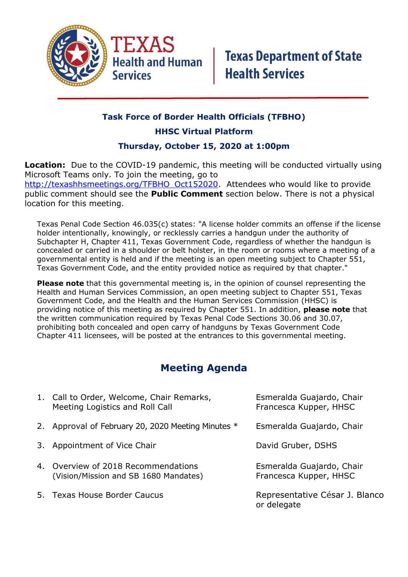

## **Task Force of Border Health Officials (TFBHO)**

### **HHSC Virtual Platform**

### **Thursday, October 15, 2020 at 1:00pm**

**Location:** Due to the COVID-19 pandemic, this meeting will be conducted virtually using Microsoft Teams only. To join the meeting, go to [http://texashhsmeetings.org/TFBHO\\_Oct152020.](http://texashhsmeetings.org/TFBHO_Oct152020) Attendees who would like to provide public comment should see the **Public Comment** section below. There is not a physical location for this meeting.

Texas Penal Code Section 46.035(c) states: "A license holder commits an offense if the license holder intentionally, knowingly, or recklessly carries a handgun under the authority of Subchapter H, Chapter 411, Texas Government Code, regardless of whether the handgun is concealed or carried in a shoulder or belt holster, in the room or rooms where a meeting of a governmental entity is held and if the meeting is an open meeting subject to Chapter 551, Texas Government Code, and the entity provided notice as required by that chapter."

**Please note** that this governmental meeting is, in the opinion of counsel representing the Health and Human Services Commission, an open meeting subject to Chapter 551, Texas Government Code, and the Health and the Human Services Commission (HHSC) is providing notice of this meeting as required by Chapter 551. In addition, **please note** that the written communication required by Texas Penal Code Sections 30.06 and 30.07, prohibiting both concealed and open carry of handguns by Texas Government Code Chapter 411 licensees, will be posted at the entrances to this governmental meeting.

# **Meeting Agenda**

| 1. Call to Order, Welcome, Chair Remarks,<br>Meeting Logistics and Roll Call | Esmeralda Guajardo, Chair<br>Francesca Kupper, HHSC |
|------------------------------------------------------------------------------|-----------------------------------------------------|
| 2. Approval of February 20, 2020 Meeting Minutes *                           | Esmeralda Guajardo, Chair                           |
| 3. Appointment of Vice Chair                                                 | David Gruber, DSHS                                  |
| 4. Overview of 2018 Recommendations<br>(Vision/Mission and SB 1680 Mandates) | Esmeralda Guajardo, Chair<br>Francesca Kupper, HHSC |
| 5. Texas House Border Caucus                                                 | Representative César J. Blanco<br>or delegate       |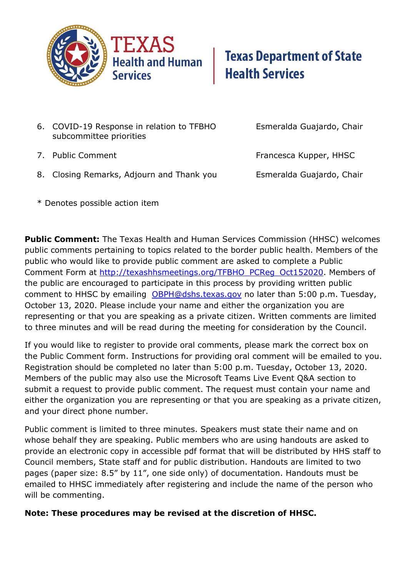

- 6. COVID-19 Response in relation to TFBHO Esmeralda Guajardo, Chair subcommittee priorities
	-
- 7. Public Comment **Francesca Kupper, HHSC**
- 8. Closing Remarks, Adjourn and Thank you Esmeralda Guajardo, Chair

\* Denotes possible action item

**Public Comment:** The Texas Health and Human Services Commission (HHSC) welcomes public comments pertaining to topics related to the border public health. Members of the public who would like to provide public comment are asked to complete a Public Comment Form at [http://texashhsmeetings.org/TFBHO\\_PCReg\\_Oct152020.](http://texashhsmeetings.org/TFBHO_PCReg_Oct152020) Members of the public are encouraged to participate in this process by providing written public comment to HHSC by emailing [OBPH@dshs.texas.gov](mailto:OBPH@dshs.texas.gov) no later than 5:00 p.m. Tuesday, October 13, 2020. Please include your name and either the organization you are representing or that you are speaking as a private citizen. Written comments are limited to three minutes and will be read during the meeting for consideration by the Council.

If you would like to register to provide oral comments, please mark the correct box on the Public Comment form. Instructions for providing oral comment will be emailed to you. Registration should be completed no later than 5:00 p.m. Tuesday, October 13, 2020. Members of the public may also use the Microsoft Teams Live Event Q&A section to submit a request to provide public comment. The request must contain your name and either the organization you are representing or that you are speaking as a private citizen, and your direct phone number.

Public comment is limited to three minutes. Speakers must state their name and on whose behalf they are speaking. Public members who are using handouts are asked to provide an electronic copy in accessible pdf format that will be distributed by HHS staff to Council members, State staff and for public distribution. Handouts are limited to two pages (paper size: 8.5" by 11", one side only) of documentation. Handouts must be emailed to HHSC immediately after registering and include the name of the person who will be commenting.

## **Note: These procedures may be revised at the discretion of HHSC.**